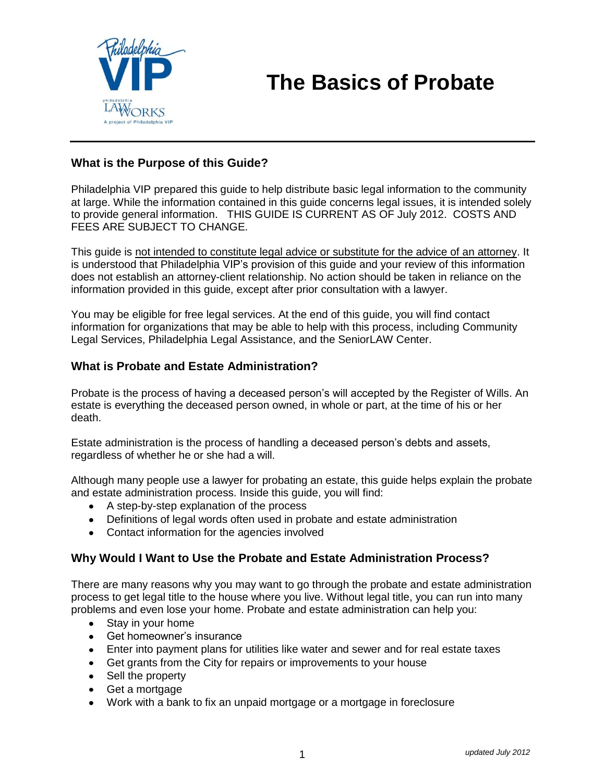

#### **What is the Purpose of this Guide?**

Philadelphia VIP prepared this guide to help distribute basic legal information to the community at large. While the information contained in this guide concerns legal issues, it is intended solely to provide general information. THIS GUIDE IS CURRENT AS OF July 2012. COSTS AND FEES ARE SUBJECT TO CHANGE.

This guide is not intended to constitute legal advice or substitute for the advice of an attorney. It is understood that Philadelphia VIP's provision of this guide and your review of this information does not establish an attorney-client relationship. No action should be taken in reliance on the information provided in this guide, except after prior consultation with a lawyer.

You may be eligible for free legal services. At the end of this guide, you will find contact information for organizations that may be able to help with this process, including Community Legal Services, Philadelphia Legal Assistance, and the SeniorLAW Center.

#### **What is Probate and Estate Administration?**

Probate is the process of having a deceased person's will accepted by the Register of Wills. An estate is everything the deceased person owned, in whole or part, at the time of his or her death.

Estate administration is the process of handling a deceased person's debts and assets, regardless of whether he or she had a will.

Although many people use a lawyer for probating an estate, this guide helps explain the probate and estate administration process. Inside this guide, you will find:

- A step-by-step explanation of the process
- Definitions of legal words often used in probate and estate administration
- Contact information for the agencies involved

#### **Why Would I Want to Use the Probate and Estate Administration Process?**

There are many reasons why you may want to go through the probate and estate administration process to get legal title to the house where you live. Without legal title, you can run into many problems and even lose your home. Probate and estate administration can help you:

- Stay in your home
- Get homeowner's insurance
- Enter into payment plans for utilities like water and sewer and for real estate taxes
- Get grants from the City for repairs or improvements to your house
- Sell the property
- Get a mortgage
- Work with a bank to fix an unpaid mortgage or a mortgage in foreclosure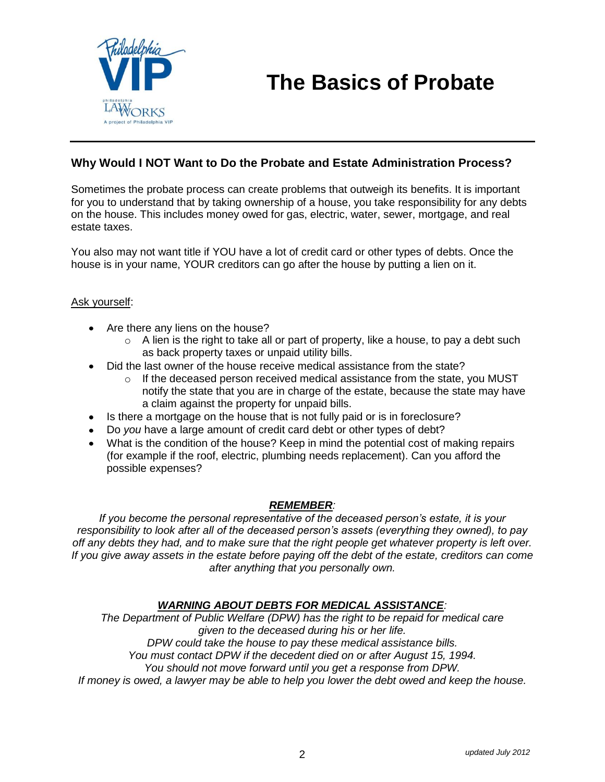

#### **Why Would I NOT Want to Do the Probate and Estate Administration Process?**

Sometimes the probate process can create problems that outweigh its benefits. It is important for you to understand that by taking ownership of a house, you take responsibility for any debts on the house. This includes money owed for gas, electric, water, sewer, mortgage, and real estate taxes.

You also may not want title if YOU have a lot of credit card or other types of debts. Once the house is in your name, YOUR creditors can go after the house by putting a lien on it.

#### Ask yourself:

- Are there any liens on the house?
	- $\circ$  A lien is the right to take all or part of property, like a house, to pay a debt such as back property taxes or unpaid utility bills.
- Did the last owner of the house receive medical assistance from the state?
	- $\circ$  If the deceased person received medical assistance from the state, you MUST notify the state that you are in charge of the estate, because the state may have a claim against the property for unpaid bills.
- Is there a mortgage on the house that is not fully paid or is in foreclosure?
- Do *you* have a large amount of credit card debt or other types of debt?
- What is the condition of the house? Keep in mind the potential cost of making repairs (for example if the roof, electric, plumbing needs replacement). Can you afford the possible expenses?

#### *REMEMBER:*

*If you become the personal representative of the deceased person's estate, it is your responsibility to look after all of the deceased person's assets (everything they owned), to pay off any debts they had, and to make sure that the right people get whatever property is left over. If you give away assets in the estate before paying off the debt of the estate, creditors can come after anything that you personally own.*

#### *WARNING ABOUT DEBTS FOR MEDICAL ASSISTANCE:*

*The Department of Public Welfare (DPW) has the right to be repaid for medical care given to the deceased during his or her life. DPW could take the house to pay these medical assistance bills. You must contact DPW if the decedent died on or after August 15, 1994. You should not move forward until you get a response from DPW.*

*If money is owed, a lawyer may be able to help you lower the debt owed and keep the house.*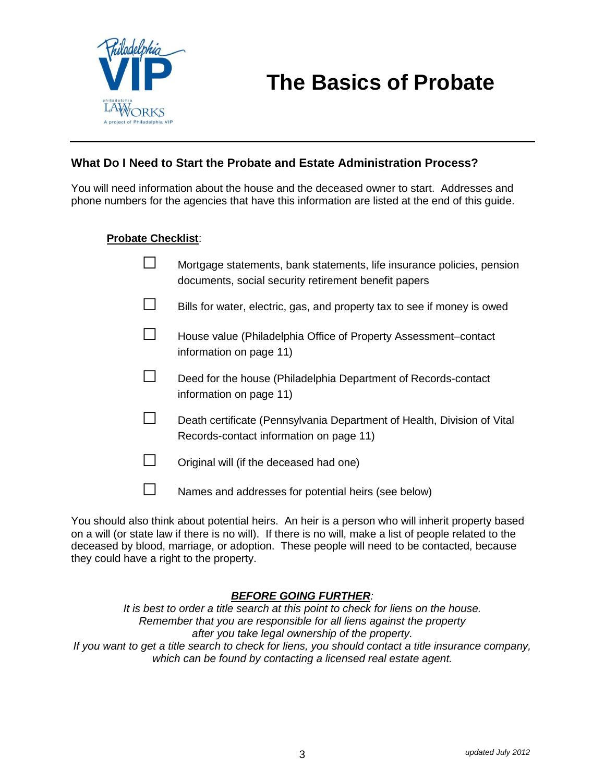

#### **What Do I Need to Start the Probate and Estate Administration Process?**

You will need information about the house and the deceased owner to start. Addresses and phone numbers for the agencies that have this information are listed at the end of this guide.

#### **Probate Checklist**:

- $\Box$  Mortgage statements, bank statements, life insurance policies, pension documents, social security retirement benefit papers
- $\Box$  Bills for water, electric, gas, and property tax to see if money is owed
- □ House value (Philadelphia Office of Property Assessment–contact information on page 11)
- $\Box$  Deed for the house (Philadelphia Department of Records-contact information on page 11)
- $\Box$  Death certificate (Pennsylvania Department of Health, Division of Vital Records-contact information on page 11)
- $\Box$  Original will (if the deceased had one)
- $\square$  Names and addresses for potential heirs (see below)

You should also think about potential heirs. An heir is a person who will inherit property based on a will (or state law if there is no will). If there is no will, make a list of people related to the deceased by blood, marriage, or adoption. These people will need to be contacted, because they could have a right to the property.

#### *BEFORE GOING FURTHER:*

*It is best to order a title search at this point to check for liens on the house. Remember that you are responsible for all liens against the property after you take legal ownership of the property. If you want to get a title search to check for liens, you should contact a title insurance company, which can be found by contacting a licensed real estate agent.*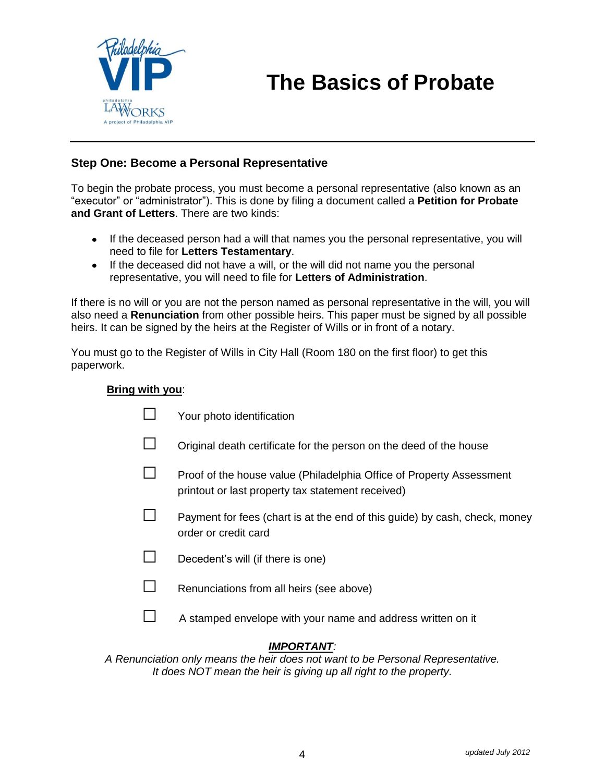

#### **Step One: Become a Personal Representative**

To begin the probate process, you must become a personal representative (also known as an "executor" or "administrator"). This is done by filing a document called a **Petition for Probate and Grant of Letters**. There are two kinds:

- If the deceased person had a will that names you the personal representative, you will need to file for **Letters Testamentary**.
- If the deceased did not have a will, or the will did not name you the personal representative, you will need to file for **Letters of Administration**.

If there is no will or you are not the person named as personal representative in the will, you will also need a **Renunciation** from other possible heirs. This paper must be signed by all possible heirs. It can be signed by the heirs at the Register of Wills or in front of a notary.

You must go to the Register of Wills in City Hall (Room 180 on the first floor) to get this paperwork.

#### **Bring with you**:

|                                                                                                 | Your photo identification                                                                                                 |  |  |  |
|-------------------------------------------------------------------------------------------------|---------------------------------------------------------------------------------------------------------------------------|--|--|--|
|                                                                                                 | Original death certificate for the person on the deed of the house                                                        |  |  |  |
|                                                                                                 | Proof of the house value (Philadelphia Office of Property Assessment<br>printout or last property tax statement received) |  |  |  |
|                                                                                                 | Payment for fees (chart is at the end of this guide) by cash, check, money<br>order or credit card                        |  |  |  |
|                                                                                                 | Decedent's will (if there is one)                                                                                         |  |  |  |
|                                                                                                 | Renunciations from all heirs (see above)                                                                                  |  |  |  |
|                                                                                                 | A stamped envelope with your name and address written on it                                                               |  |  |  |
| <b>IMPORTANT:</b><br>inciation only means the heir does not want to be Personal Representative. |                                                                                                                           |  |  |  |

*A Renunciation only means the heir does not want to be Personal Representative. It does NOT mean the heir is giving up all right to the property.*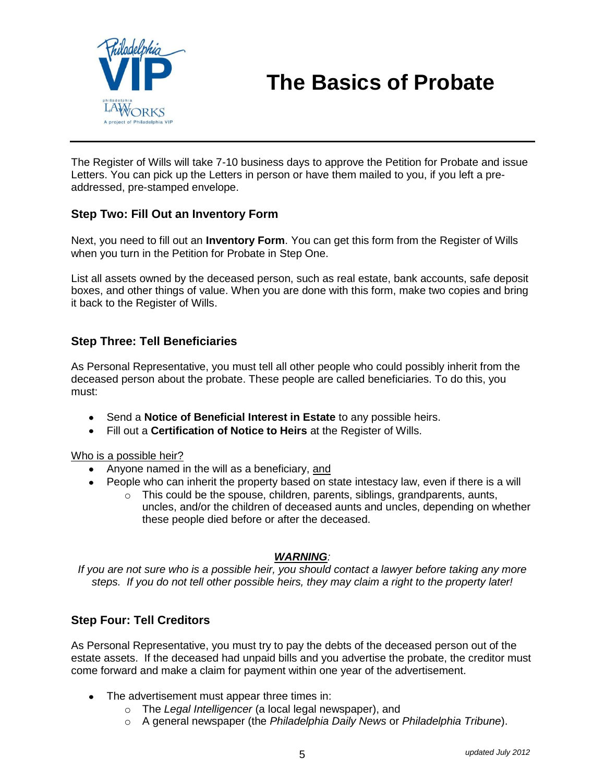

The Register of Wills will take 7-10 business days to approve the Petition for Probate and issue Letters. You can pick up the Letters in person or have them mailed to you, if you left a preaddressed, pre-stamped envelope.

#### **Step Two: Fill Out an Inventory Form**

Next, you need to fill out an **Inventory Form**. You can get this form from the Register of Wills when you turn in the Petition for Probate in Step One.

List all assets owned by the deceased person, such as real estate, bank accounts, safe deposit boxes, and other things of value. When you are done with this form, make two copies and bring it back to the Register of Wills.

#### **Step Three: Tell Beneficiaries**

As Personal Representative, you must tell all other people who could possibly inherit from the deceased person about the probate. These people are called beneficiaries. To do this, you must:

- Send a **Notice of Beneficial Interest in Estate** to any possible heirs.
- Fill out a **Certification of Notice to Heirs** at the Register of Wills.

Who is a possible heir?

- Anyone named in the will as a beneficiary, and
- People who can inherit the property based on state intestacy law, even if there is a will
	- o This could be the spouse, children, parents, siblings, grandparents, aunts, uncles, and/or the children of deceased aunts and uncles, depending on whether these people died before or after the deceased.

#### *WARNING:*

*If you are not sure who is a possible heir, you should contact a lawyer before taking any more steps. If you do not tell other possible heirs, they may claim a right to the property later!*

#### **Step Four: Tell Creditors**

As Personal Representative, you must try to pay the debts of the deceased person out of the estate assets. If the deceased had unpaid bills and you advertise the probate, the creditor must come forward and make a claim for payment within one year of the advertisement.

- The advertisement must appear three times in:
	- o The *Legal Intelligencer* (a local legal newspaper), and
	- o A general newspaper (the *Philadelphia Daily News* or *Philadelphia Tribune*).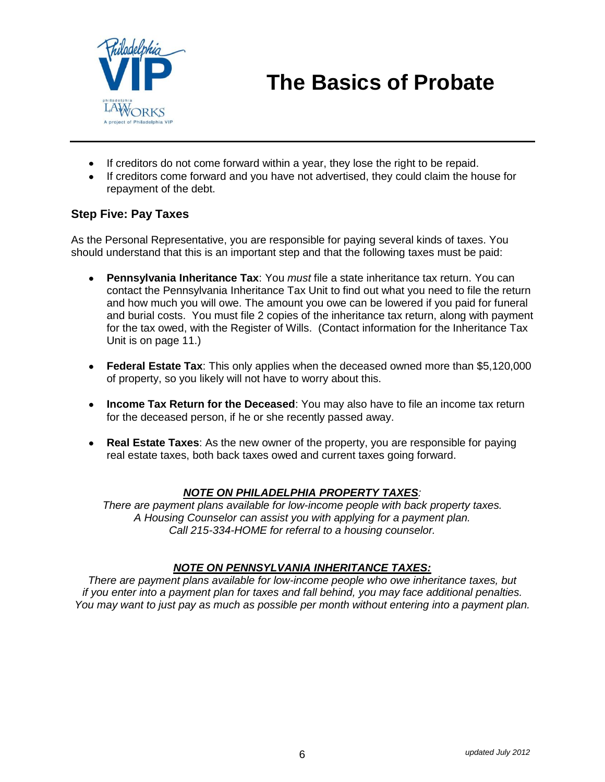

- If creditors do not come forward within a year, they lose the right to be repaid.
- If creditors come forward and you have not advertised, they could claim the house for repayment of the debt.

#### **Step Five: Pay Taxes**

As the Personal Representative, you are responsible for paying several kinds of taxes. You should understand that this is an important step and that the following taxes must be paid:

- **Pennsylvania Inheritance Tax**: You *must* file a state inheritance tax return. You can  $\bullet$ contact the Pennsylvania Inheritance Tax Unit to find out what you need to file the return and how much you will owe. The amount you owe can be lowered if you paid for funeral and burial costs. You must file 2 copies of the inheritance tax return, along with payment for the tax owed, with the Register of Wills. (Contact information for the Inheritance Tax Unit is on page 11.)
- **Federal Estate Tax**: This only applies when the deceased owned more than \$5,120,000 of property, so you likely will not have to worry about this.
- **Income Tax Return for the Deceased**: You may also have to file an income tax return for the deceased person, if he or she recently passed away.
- **Real Estate Taxes**: As the new owner of the property, you are responsible for paying real estate taxes, both back taxes owed and current taxes going forward.

#### *NOTE ON PHILADELPHIA PROPERTY TAXES:*

*There are payment plans available for low-income people with back property taxes. A Housing Counselor can assist you with applying for a payment plan. Call 215-334-HOME for referral to a housing counselor.*

#### *NOTE ON PENNSYLVANIA INHERITANCE TAXES:*

*There are payment plans available for low-income people who owe inheritance taxes, but if you enter into a payment plan for taxes and fall behind, you may face additional penalties. You may want to just pay as much as possible per month without entering into a payment plan.*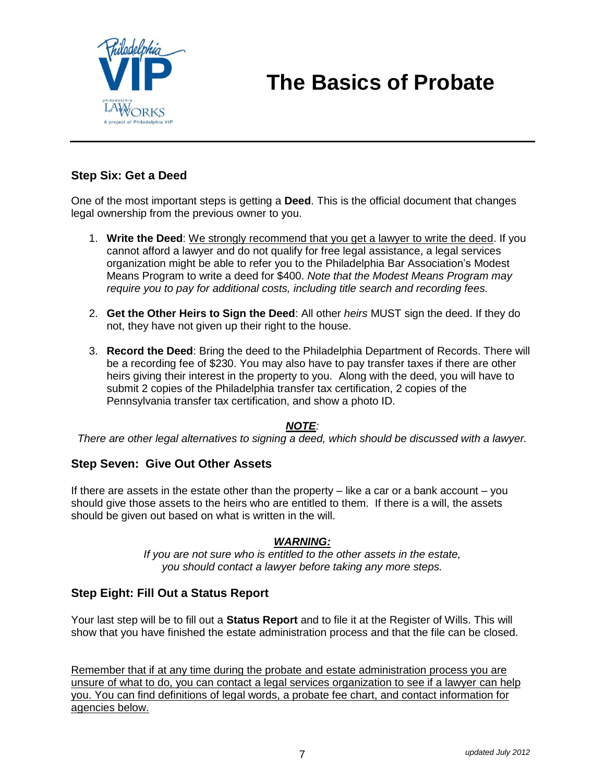

#### **Step Six: Get a Deed**

One of the most important steps is getting a **Deed**. This is the official document that changes legal ownership from the previous owner to you.

- 1. **Write the Deed**: We strongly recommend that you get a lawyer to write the deed. If you cannot afford a lawyer and do not qualify for free legal assistance, a legal services organization might be able to refer you to the Philadelphia Bar Association's Modest Means Program to write a deed for \$400. *Note that the Modest Means Program may require you to pay for additional costs, including title search and recording fees.*
- 2. **Get the Other Heirs to Sign the Deed**: All other *heirs* MUST sign the deed. If they do not, they have not given up their right to the house.
- 3. **Record the Deed**: Bring the deed to the Philadelphia Department of Records. There will be a recording fee of \$230. You may also have to pay transfer taxes if there are other heirs giving their interest in the property to you. Along with the deed, you will have to submit 2 copies of the Philadelphia transfer tax certification, 2 copies of the Pennsylvania transfer tax certification, and show a photo ID.

#### *NOTE:*

*There are other legal alternatives to signing a deed, which should be discussed with a lawyer.*

#### **Step Seven: Give Out Other Assets**

If there are assets in the estate other than the property – like a car or a bank account – you should give those assets to the heirs who are entitled to them. If there is a will, the assets should be given out based on what is written in the will.

#### *WARNING:*

*If you are not sure who is entitled to the other assets in the estate, you should contact a lawyer before taking any more steps.*

#### **Step Eight: Fill Out a Status Report**

Your last step will be to fill out a **Status Report** and to file it at the Register of Wills. This will show that you have finished the estate administration process and that the file can be closed.

Remember that if at any time during the probate and estate administration process you are unsure of what to do, you can contact a legal services organization to see if a lawyer can help you. You can find definitions of legal words, a probate fee chart, and contact information for agencies below.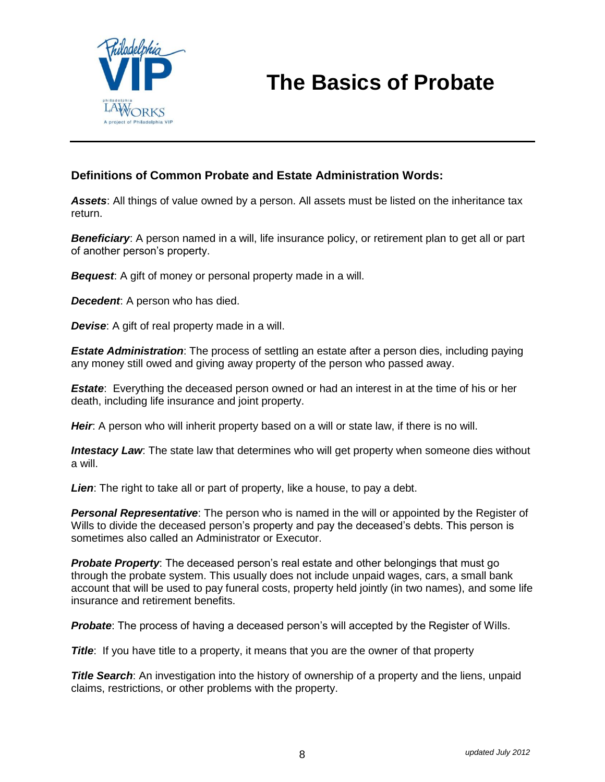

#### **Definitions of Common Probate and Estate Administration Words:**

*Assets*: All things of value owned by a person. All assets must be listed on the inheritance tax return.

**Beneficiary:** A person named in a will, life insurance policy, or retirement plan to get all or part of another person's property.

*Bequest*: A gift of money or personal property made in a will.

*Decedent*: A person who has died.

*Devise:* A gift of real property made in a will.

*Estate Administration*: The process of settling an estate after a person dies, including paying any money still owed and giving away property of the person who passed away.

*Estate*: Everything the deceased person owned or had an interest in at the time of his or her death, including life insurance and joint property.

*Heir*: A person who will inherit property based on a will or state law, if there is no will.

*Intestacy Law*: The state law that determines who will get property when someone dies without a will.

*Lien*: The right to take all or part of property, like a house, to pay a debt.

**Personal Representative**: The person who is named in the will or appointed by the Register of Wills to divide the deceased person's property and pay the deceased's debts. This person is sometimes also called an Administrator or Executor.

*Probate Property*: The deceased person's real estate and other belongings that must go through the probate system. This usually does not include unpaid wages, cars, a small bank account that will be used to pay funeral costs, property held jointly (in two names), and some life insurance and retirement benefits.

**Probate**: The process of having a deceased person's will accepted by the Register of Wills.

**Title**: If you have title to a property, it means that you are the owner of that property

**Title Search:** An investigation into the history of ownership of a property and the liens, unpaid claims, restrictions, or other problems with the property.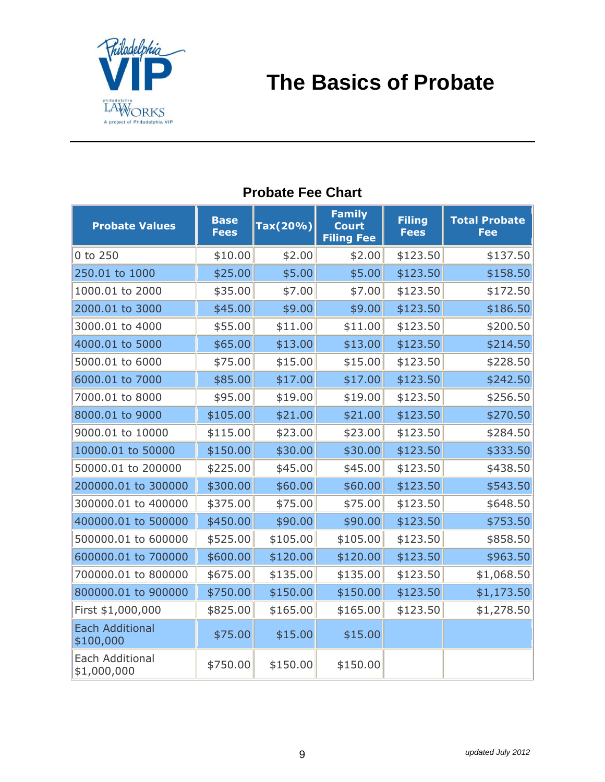

| <b>Probate Values</b>                 | <b>Base</b><br><b>Fees</b> | Tax(20%) | <b>Family</b><br><b>Court</b><br><b>Filing Fee</b> | <b>Filing</b><br><b>Fees</b> | <b>Total Probate</b><br><b>Fee</b> |
|---------------------------------------|----------------------------|----------|----------------------------------------------------|------------------------------|------------------------------------|
| 0 to 250                              | \$10.00                    | \$2.00   | \$2.00                                             | \$123.50                     | \$137.50                           |
| 250.01 to 1000                        | \$25.00                    | \$5.00   | \$5.00                                             | \$123.50                     | \$158.50                           |
| 1000.01 to 2000                       | \$35.00                    | \$7.00   | \$7.00                                             | \$123.50                     | \$172.50                           |
| 2000.01 to 3000                       | \$45.00                    | \$9.00   | \$9.00                                             | \$123.50                     | \$186.50                           |
| 3000.01 to 4000                       | \$55.00                    | \$11.00  | \$11.00                                            | \$123.50                     | \$200.50                           |
| 4000.01 to 5000                       | \$65.00                    | \$13.00  | \$13.00                                            | \$123.50                     | \$214.50                           |
| 5000.01 to 6000                       | \$75.00                    | \$15.00  | \$15.00                                            | \$123.50                     | \$228.50                           |
| 6000.01 to 7000                       | \$85.00                    | \$17.00  | \$17.00                                            | \$123.50                     | \$242.50                           |
| 7000.01 to 8000                       | \$95.00                    | \$19.00  | \$19.00                                            | \$123.50                     | \$256.50                           |
| 8000.01 to 9000                       | \$105.00                   | \$21.00  | \$21.00                                            | \$123.50                     | \$270.50                           |
| 9000.01 to 10000                      | \$115.00                   | \$23.00  | \$23.00                                            | \$123.50                     | \$284.50                           |
| 10000.01 to 50000                     | \$150.00                   | \$30.00  | \$30.00                                            | \$123.50                     | \$333.50                           |
| 50000.01 to 200000                    | \$225.00                   | \$45.00  | \$45.00                                            | \$123.50                     | \$438.50                           |
| 200000.01 to 300000                   | \$300.00                   | \$60.00  | \$60.00                                            | \$123.50                     | \$543.50                           |
| 300000.01 to 400000                   | \$375.00                   | \$75.00  | \$75.00                                            | \$123.50                     | \$648.50                           |
| 400000.01 to 500000                   | \$450.00                   | \$90.00  | \$90.00                                            | \$123.50                     | \$753.50                           |
| 500000.01 to 600000                   | \$525.00                   | \$105.00 | \$105.00                                           | \$123.50                     | \$858.50                           |
| 600000.01 to 700000                   | \$600.00                   | \$120.00 | \$120.00                                           | \$123.50                     | \$963.50                           |
| 700000.01 to 800000                   | \$675.00                   | \$135.00 | \$135.00                                           | \$123.50                     | \$1,068.50                         |
| 800000.01 to 900000                   | \$750.00                   | \$150.00 | \$150.00                                           | \$123.50                     | \$1,173.50                         |
| First \$1,000,000                     | \$825.00                   | \$165.00 | \$165.00                                           | \$123.50                     | \$1,278.50                         |
| <b>Each Additional</b><br>\$100,000   | \$75.00                    | \$15.00  | \$15.00                                            |                              |                                    |
| <b>Each Additional</b><br>\$1,000,000 | \$750.00                   | \$150.00 | \$150.00                                           |                              |                                    |

### **Probate Fee Chart**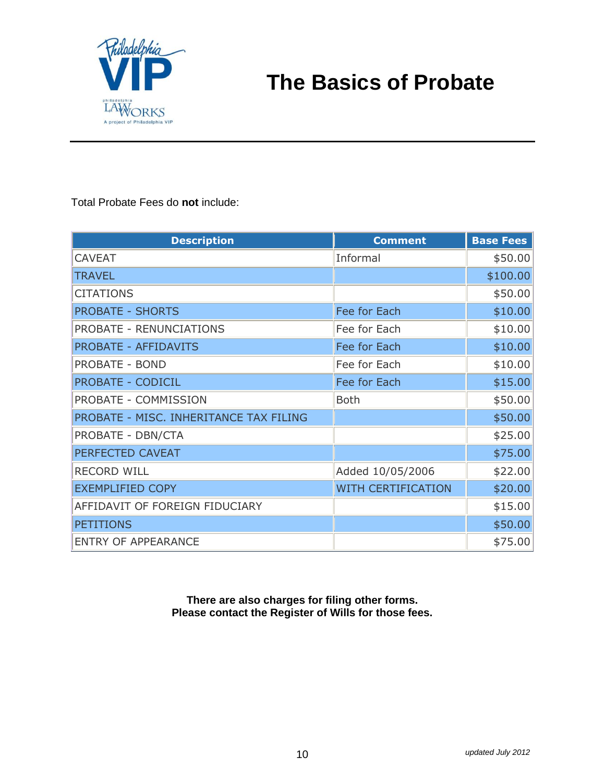

Total Probate Fees do **not** include:

| <b>Description</b>                     | <b>Comment</b>            | <b>Base Fees</b> |
|----------------------------------------|---------------------------|------------------|
| <b>CAVEAT</b>                          | Informal                  | \$50.00          |
| <b>TRAVEL</b>                          |                           | \$100.00         |
| <b>CITATIONS</b>                       |                           | \$50.00          |
| <b>PROBATE - SHORTS</b>                | Fee for Each              | \$10.00          |
| <b>PROBATE - RENUNCIATIONS</b>         | Fee for Each              | \$10.00          |
| <b>PROBATE - AFFIDAVITS</b>            | Fee for Each              | \$10.00          |
| <b>PROBATE - BOND</b>                  | Fee for Each              | \$10.00          |
| <b>PROBATE - CODICIL</b>               | Fee for Each              | \$15.00          |
| PROBATE - COMMISSION                   | <b>Both</b>               | \$50.00          |
| PROBATE - MISC. INHERITANCE TAX FILING |                           | \$50.00          |
| PROBATE - DBN/CTA                      |                           | \$25.00          |
| PERFECTED CAVEAT                       |                           | \$75.00          |
| <b>RECORD WILL</b>                     | Added 10/05/2006          | \$22.00          |
| <b>EXEMPLIFIED COPY</b>                | <b>WITH CERTIFICATION</b> | \$20.00          |
| AFFIDAVIT OF FOREIGN FIDUCIARY         |                           | \$15.00          |
| <b>PETITIONS</b>                       |                           | \$50.00          |
| <b>ENTRY OF APPEARANCE</b>             |                           | \$75.00          |

**There are also charges for filing other forms. Please contact the Register of Wills for those fees.**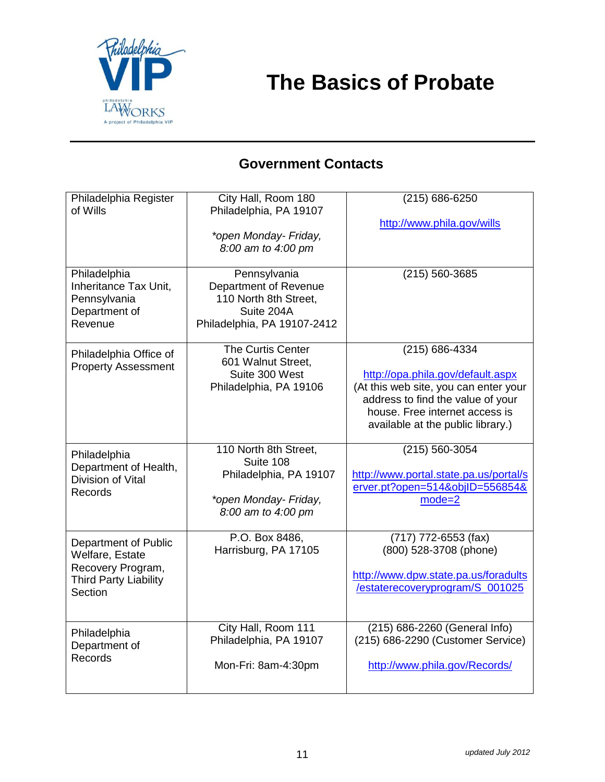

### **Government Contacts**

| Philadelphia Register<br>of Wills                                                                       | City Hall, Room 180<br>Philadelphia, PA 19107<br>*open Monday- Friday,                                      | (215) 686-6250<br>http://www.phila.gov/wills                                                                                                                                                                 |
|---------------------------------------------------------------------------------------------------------|-------------------------------------------------------------------------------------------------------------|--------------------------------------------------------------------------------------------------------------------------------------------------------------------------------------------------------------|
|                                                                                                         | 8:00 am to 4:00 pm                                                                                          |                                                                                                                                                                                                              |
| Philadelphia<br>Inheritance Tax Unit,<br>Pennsylvania<br>Department of<br>Revenue                       | Pennsylvania<br>Department of Revenue<br>110 North 8th Street,<br>Suite 204A<br>Philadelphia, PA 19107-2412 | (215) 560-3685                                                                                                                                                                                               |
| Philadelphia Office of<br><b>Property Assessment</b>                                                    | The Curtis Center<br>601 Walnut Street,<br>Suite 300 West<br>Philadelphia, PA 19106                         | $(215) 686 - 4334$<br>http://opa.phila.gov/default.aspx<br>(At this web site, you can enter your<br>address to find the value of your<br>house. Free internet access is<br>available at the public library.) |
| Philadelphia<br>Department of Health,<br>Division of Vital<br><b>Records</b>                            | 110 North 8th Street,<br>Suite 108<br>Philadelphia, PA 19107<br>*open Monday- Friday,<br>8:00 am to 4:00 pm | (215) 560-3054<br>http://www.portal.state.pa.us/portal/s<br>erver.pt?open=514&objlD=556854&<br>$mode=2$                                                                                                      |
| Department of Public<br>Welfare, Estate<br>Recovery Program,<br><b>Third Party Liability</b><br>Section | P.O. Box 8486,<br>Harrisburg, PA 17105                                                                      | (717) 772-6553 (fax)<br>(800) 528-3708 (phone)<br>http://www.dpw.state.pa.us/foradults<br>/estaterecoveryprogram/S_001025                                                                                    |
| Philadelphia<br>Department of<br><b>Records</b>                                                         | City Hall, Room 111<br>Philadelphia, PA 19107<br>Mon-Fri: 8am-4:30pm                                        | (215) 686-2260 (General Info)<br>(215) 686-2290 (Customer Service)<br>http://www.phila.gov/Records/                                                                                                          |